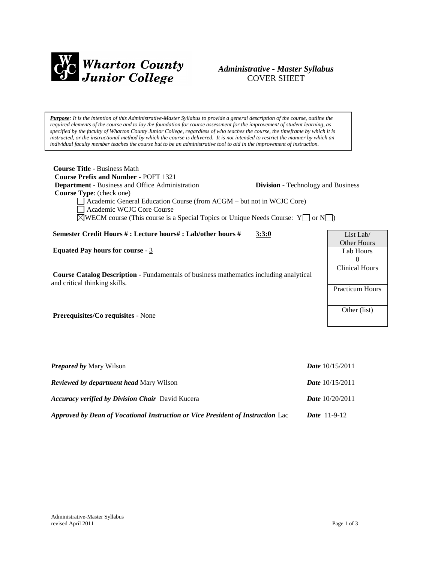

# *Administrative - Master Syllabus*  COVER SHEET

*Purpose: It is the intention of this Administrative-Master Syllabus to provide a general description of the course, outline the required elements of the course and to lay the foundation for course assessment for the improvement of student learning, as specified by the faculty of Wharton County Junior College, regardless of who teaches the course, the timeframe by which it is instructed, or the instructional method by which the course is delivered. It is not intended to restrict the manner by which an individual faculty member teaches the course but to be an administrative tool to aid in the improvement of instruction.*

| <b>Course Title - Business Math</b><br><b>Course Prefix and Number - POFT 1321</b><br><b>Department</b> - Business and Office Administration<br><b>Course Type:</b> (check one)<br>Academic General Education Course (from ACGM – but not in WCJC Core)<br>Academic WCJC Core Course<br>$\sqrt{\text{WECM}}$ course (This course is a Special Topics or Unique Needs Course: Y $\Box$ or N $\Box$ ) |       | <b>Division</b> - Technology and Business |                                             |
|-----------------------------------------------------------------------------------------------------------------------------------------------------------------------------------------------------------------------------------------------------------------------------------------------------------------------------------------------------------------------------------------------------|-------|-------------------------------------------|---------------------------------------------|
| Semester Credit Hours #: Lecture hours#: Lab/other hours #                                                                                                                                                                                                                                                                                                                                          | 3:3:0 |                                           | List Lab/                                   |
| Equated Pay hours for course - $3$                                                                                                                                                                                                                                                                                                                                                                  |       |                                           | <b>Other Hours</b><br>Lab Hours<br>$\Omega$ |
| <b>Course Catalog Description</b> - Fundamentals of business mathematics including analytical<br>and critical thinking skills.                                                                                                                                                                                                                                                                      |       |                                           | <b>Clinical Hours</b>                       |
|                                                                                                                                                                                                                                                                                                                                                                                                     |       |                                           | <b>Practicum Hours</b>                      |
| <b>Prerequisites/Co requisites - None</b>                                                                                                                                                                                                                                                                                                                                                           |       |                                           | Other (list)                                |
|                                                                                                                                                                                                                                                                                                                                                                                                     |       |                                           |                                             |
|                                                                                                                                                                                                                                                                                                                                                                                                     |       |                                           |                                             |

| <b>Prepared by Mary Wilson</b>                                                  | <i>Date</i> $10/15/2011$ |
|---------------------------------------------------------------------------------|--------------------------|
| <b>Reviewed by department head Mary Wilson</b>                                  | <b>Date</b> $10/15/2011$ |
| <b>Accuracy verified by Division Chair</b> David Kucera                         | <b>Date</b> $10/20/2011$ |
| Approved by Dean of Vocational Instruction or Vice President of Instruction Lac | <b>Date</b> $11-9-12$    |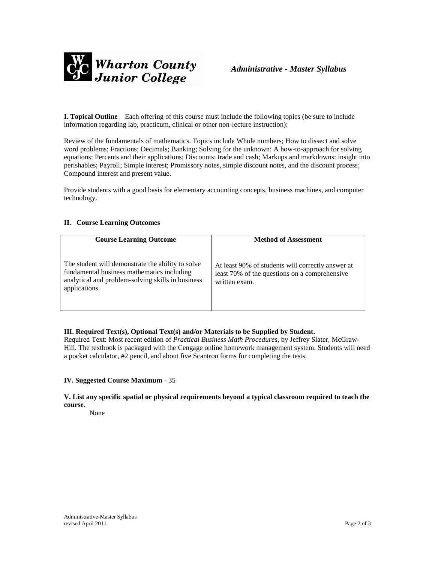

**I. Topical Outline** – Each offering of this course must include the following topics (be sure to include information regarding lab, practicum, clinical or other non-lecture instruction):

Review of the fundamentals of mathematics. Topics include Whole numbers; How to dissect and solve word problems; Fractions; Decimals; Banking; Solving for the unknown: A how-to-approach for solving equations; Percents and their applications; Discounts: trade and cash; Markups and markdowns: insight into perishables; Payroll; Simple interest; Promissory notes, simple discount notes, and the discount process; Compound interest and present value.

Provide students with a good basis for elementary accounting concepts, business machines, and computer technology.

## **II. Course Learning Outcomes**

| <b>Course Learning Outcome</b>                                                                                                                                        | <b>Method of Assessment</b>                                                                                         |
|-----------------------------------------------------------------------------------------------------------------------------------------------------------------------|---------------------------------------------------------------------------------------------------------------------|
| The student will demonstrate the ability to solve<br>fundamental business mathematics including<br>analytical and problem-solving skills in business<br>applications. | At least 90% of students will correctly answer at<br>least 70% of the questions on a comprehensive<br>written exam. |

## **III. Required Text(s), Optional Text(s) and/or Materials to be Supplied by Student.**

Required Text: Most recent edition of *Practical Business Math Procedures*, by Jeffrey Slater, McGraw-Hill. The textbook is packaged with the Cengage online homework management system. Students will need a pocket calculator, #2 pencil, and about five Scantron forms for completing the tests.

### **IV. Suggested Course Maximum** - 35

**V. List any specific spatial or physical requirements beyond a typical classroom required to teach the course**.

None